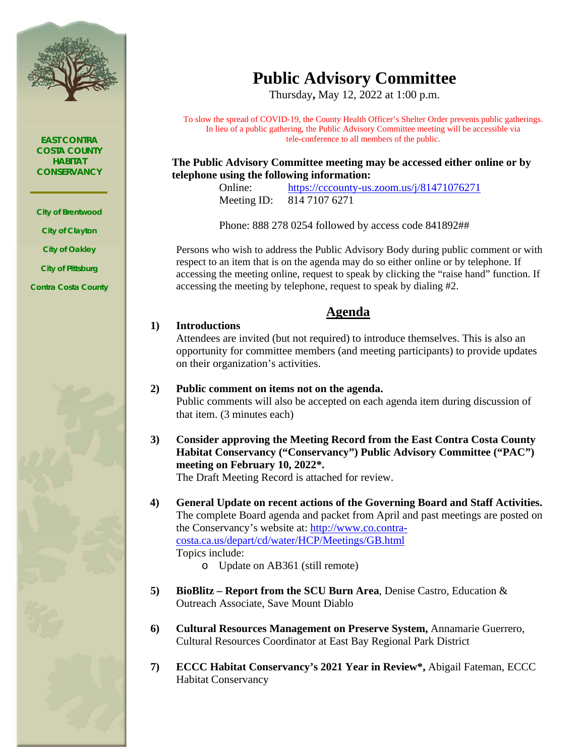

*EAST CONTRA COSTA COUNTY HABITAT CONSERVANCY*

*City of Brentwood City of Clayton City of Oakley City of Pittsburg*

*Contra Costa County*



### **Public Advisory Committee**

Thursday**,** May 12, 2022 at 1:00 p.m.

To slow the spread of COVID-19, the County Health Officer's Shelter Order prevents public gatherings. In lieu of a public gathering, the Public Advisory Committee meeting will be accessible via tele-conference to all members of the public.

#### **The Public Advisory Committee meeting may be accessed either online or by telephone using the following information:**

Online: <https://cccounty-us.zoom.us/j/81471076271> Meeting ID: 814 7107 6271

Phone: 888 278 0254 followed by access code 841892##

Persons who wish to address the Public Advisory Body during public comment or with respect to an item that is on the agenda may do so either online or by telephone. If accessing the meeting online, request to speak by clicking the "raise hand" function. If accessing the meeting by telephone, request to speak by dialing #2.

#### **Agenda**

#### **1) Introductions**

Attendees are invited (but not required) to introduce themselves. This is also an opportunity for committee members (and meeting participants) to provide updates on their organization's activities.

#### **2) Public comment on items not on the agenda.** Public comments will also be accepted on each agenda item during discussion of that item. (3 minutes each)

**3) Consider approving the Meeting Record from the East Contra Costa County Habitat Conservancy ("Conservancy") Public Advisory Committee ("PAC") meeting on February 10, 2022\*.**

The Draft Meeting Record is attached for review.

- **4) General Update on recent actions of the Governing Board and Staff Activities.** The complete Board agenda and packet from April and past meetings are posted on the Conservancy's website at: [http://www.co.contra](http://www.co.contra-costa.ca.us/depart/cd/water/HCP/Meetings/GB.html)[costa.ca.us/depart/cd/water/HCP/Meetings/GB.html](http://www.co.contra-costa.ca.us/depart/cd/water/HCP/Meetings/GB.html) Topics include:
	- o Update on AB361 (still remote)
- **5) BioBlitz – Report from the SCU Burn Area**, Denise Castro, Education & Outreach Associate, Save Mount Diablo
- **6) Cultural Resources Management on Preserve System,** Annamarie Guerrero, Cultural Resources Coordinator at East Bay Regional Park District
- **7) ECCC Habitat Conservancy's 2021 Year in Review\*,** Abigail Fateman, ECCC Habitat Conservancy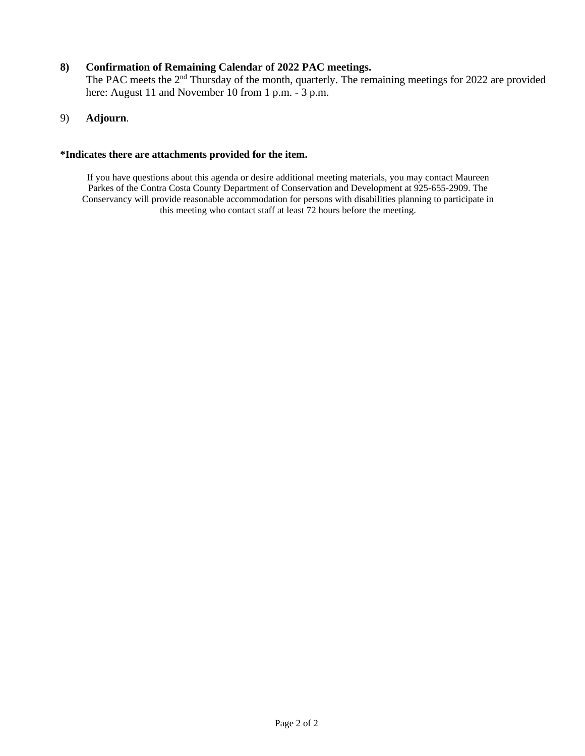#### **8) Confirmation of Remaining Calendar of 2022 PAC meetings.**

The PAC meets the 2<sup>nd</sup> Thursday of the month, quarterly. The remaining meetings for 2022 are provided here: August 11 and November 10 from 1 p.m. - 3 p.m.

#### 9) **Adjourn**.

#### **\*Indicates there are attachments provided for the item.**

If you have questions about this agenda or desire additional meeting materials, you may contact Maureen Parkes of the Contra Costa County Department of Conservation and Development at 925-655-2909. The Conservancy will provide reasonable accommodation for persons with disabilities planning to participate in this meeting who contact staff at least 72 hours before the meeting.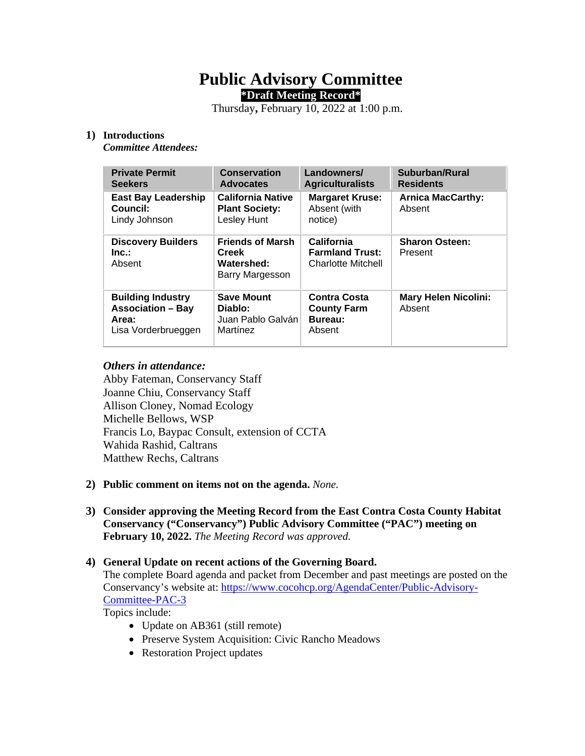### **Public Advisory Committee \*Draft Meeting Record\***

Thursday**,** February 10, 2022 at 1:00 p.m.

#### **1) Introductions**

*Committee Attendees:* 

| <b>Private Permit</b><br><b>Seekers</b>                                              | <b>Conservation</b><br><b>Advocates</b>                           | Landowners/<br><b>Agriculturalists</b>                            | Suburban/Rural<br><b>Residents</b>    |
|--------------------------------------------------------------------------------------|-------------------------------------------------------------------|-------------------------------------------------------------------|---------------------------------------|
| <b>East Bay Leadership</b><br>Council:<br>Lindy Johnson                              | <b>California Native</b><br><b>Plant Society:</b><br>Lesley Hunt  | <b>Margaret Kruse:</b><br>Absent (with<br>notice)                 | <b>Arnica MacCarthy:</b><br>Absent    |
| <b>Discovery Builders</b><br>Inc.<br>Absent                                          | <b>Friends of Marsh</b><br>Creek<br>Watershed:<br>Barry Margesson | California<br><b>Farmland Trust:</b><br><b>Charlotte Mitchell</b> | <b>Sharon Osteen:</b><br>Present      |
| <b>Building Industry</b><br><b>Association - Bay</b><br>Area:<br>Lisa Vorderbrueggen | <b>Save Mount</b><br>Diablo:<br>Juan Pablo Galván<br>Martínez     | <b>Contra Costa</b><br><b>County Farm</b><br>Bureau:<br>Absent    | <b>Mary Helen Nicolini:</b><br>Absent |

#### *Others in attendance:*

Abby Fateman, Conservancy Staff Joanne Chiu, Conservancy Staff Allison Cloney, Nomad Ecology Michelle Bellows, WSP Francis Lo, Baypac Consult, extension of CCTA Wahida Rashid, Caltrans Matthew Rechs, Caltrans

- **2) Public comment on items not on the agenda.** *None.*
- **3) Consider approving the Meeting Record from the East Contra Costa County Habitat Conservancy ("Conservancy") Public Advisory Committee ("PAC") meeting on February 10, 2022.** *The Meeting Record was approved.*

#### **4) General Update on recent actions of the Governing Board.**

The complete Board agenda and packet from December and past meetings are posted on the Conservancy's website at: [https://www.cocohcp.org/AgendaCenter/Public-Advisory-](https://www.cocohcp.org/AgendaCenter/Public-Advisory-Committee-PAC-3)[Committee-PAC-3](https://www.cocohcp.org/AgendaCenter/Public-Advisory-Committee-PAC-3)

Topics include:

- Update on AB361 (still remote)
- Preserve System Acquisition: Civic Rancho Meadows
- Restoration Project updates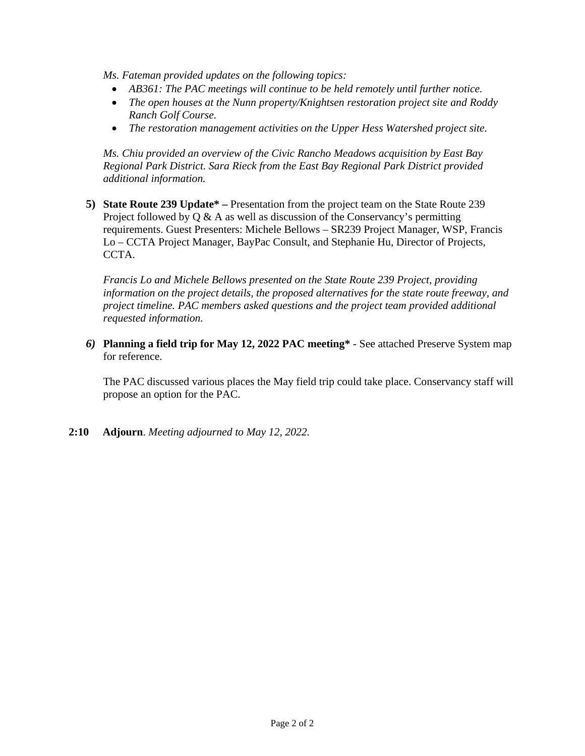*Ms. Fateman provided updates on the following topics:* 

- *AB361: The PAC meetings will continue to be held remotely until further notice.*
- *The open houses at the Nunn property/Knightsen restoration project site and Roddy Ranch Golf Course.*
- *The restoration management activities on the Upper Hess Watershed project site.*

*Ms. Chiu provided an overview of the Civic Rancho Meadows acquisition by East Bay Regional Park District. Sara Rieck from the East Bay Regional Park District provided additional information.* 

**5) State Route 239 Update\* –** Presentation from the project team on the State Route 239 Project followed by  $Q \& A$  as well as discussion of the Conservancy's permitting requirements. Guest Presenters: Michele Bellows – SR239 Project Manager, WSP, Francis Lo – CCTA Project Manager, BayPac Consult, and Stephanie Hu, Director of Projects, CCTA.

*Francis Lo and Michele Bellows presented on the State Route 239 Project, providing information on the project details, the proposed alternatives for the state route freeway, and project timeline. PAC members asked questions and the project team provided additional requested information.*

*6)* **Planning a field trip for May 12, 2022 PAC meeting\*** - See attached Preserve System map for reference.

The PAC discussed various places the May field trip could take place. Conservancy staff will propose an option for the PAC.

**2:10 Adjourn**. *Meeting adjourned to May 12, 2022.*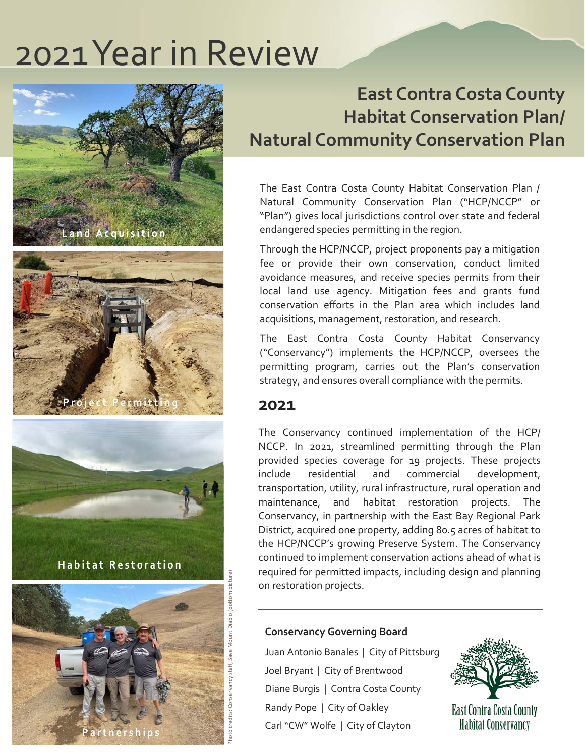# 2021 Year in Review







### **East Contra Costa County Habitat Conservation Plan/ Natural Community Conservation Plan**

The East Contra Costa County Habitat Conservation Plan / Natural Community Conservation Plan ("HCP/NCCP" or "Plan") gives local jurisdictions control over state and federal endangered species permitting in the region.

Through the HCP/NCCP, project proponents pay a mitigation fee or provide their own conservation, conduct limited avoidance measures, and receive species permits from their local land use agency. Mitigation fees and grants fund conservation efforts in the Plan area which includes land acquisitions, management, restoration, and research.

The East Contra Costa County Habitat Conservancy ("Conservancy") implements the HCP/NCCP, oversees the permitting program, carries out the Plan's conservation strategy, and ensures overall compliance with the permits.

#### **2021**

The Conservancy continued implementation of the HCP/ NCCP. In 2021, streamlined permitting through the Plan provided species coverage for 19 projects. These projects include residential and commercial development, transportation, utility, rural infrastructure, rural operation and maintenance, and habitat restoration projects. The Conservancy, in partnership with the East Bay Regional Park District, acquired one property, adding 80.5 acres of habitat to the HCP/NCCP's growing Preserve System. The Conservancy continued to implement conservation actions ahead of what is required for permitted impacts, including design and planning on restoration projects.

#### **Conservancy Governing Board**

Juan Antonio Banales | City of Pittsburg Joel Bryant | City of Brentwood Diane Burgis | Contra Costa County Randy Pope | City of Oakley Carl "CW" Wolfe | City of Clayton



**East Contra Costa County Habitat Conservancy**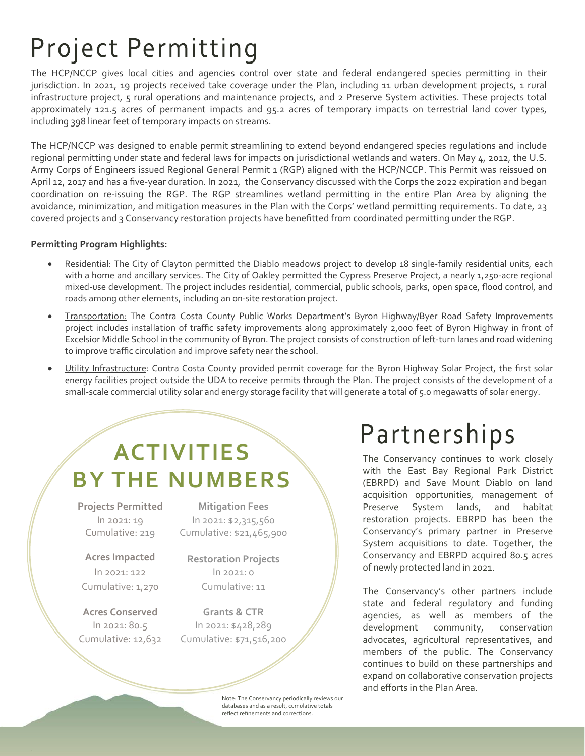# **Project Permitting**

The HCP/NCCP gives local cities and agencies control over state and federal endangered species permitting in their jurisdiction. In 2021, 19 projects received take coverage under the Plan, including 11 urban development projects, 1 rural infrastructure project, 5 rural operations and maintenance projects, and 2 Preserve System activities. These projects total approximately 121.5 acres of permanent impacts and 95.2 acres of temporary impacts on terrestrial land cover types, including 398 linear feet of temporary impacts on streams.

The HCP/NCCP was designed to enable permit streamlining to extend beyond endangered species regulations and include regional permitting under state and federal laws for impacts on jurisdictional wetlands and waters. On May 4, 2012, the U.S. Army Corps of Engineers issued Regional General Permit 1 (RGP) aligned with the HCP/NCCP. This Permit was reissued on April 12, 2017 and has a five-year duration. In 2021, the Conservancy discussed with the Corps the 2022 expiration and began coordination on re-issuing the RGP. The RGP streamlines wetland permitting in the entire Plan Area by aligning the avoidance, minimization, and mitigation measures in the Plan with the Corps' wetland permitting requirements. To date, 23 covered projects and 3 Conservancy restoration projects have benefitted from coordinated permitting under the RGP.

#### **Permitting Program Highlights:**

- Residential: The City of Clayton permitted the Diablo meadows project to develop 18 single‐family residential units, each with a home and ancillary services. The City of Oakley permitted the Cypress Preserve Project, a nearly 1,250-acre regional mixed‐use development. The project includes residential, commercial, public schools, parks, open space, flood control, and roads among other elements, including an on‐site restoration project.
- Transportation: The Contra Costa County Public Works Department's Byron Highway/Byer Road Safety Improvements project includes installation of traffic safety improvements along approximately 2,000 feet of Byron Highway in front of Excelsior Middle School in the community of Byron. The project consists of construction of left-turn lanes and road widening to improve traffic circulation and improve safety near the school.
- Utility Infrastructure: Contra Costa County provided permit coverage for the Byron Highway Solar Project, the first solar energy facilities project outside the UDA to receive permits through the Plan. The project consists of the development of a small-scale commercial utility solar and energy storage facility that will generate a total of 5.0 megawatts of solar energy.

### **ACTIVITIES BY THE NUMBERS**

In 2021: 122 In 2021: 0 Cumulative: 1,270 Cumulative: 11

**Projects Permitted Mitigation Fees** In 2021: 19 In 2021: \$2,315,560 Cumulative: 219 Cumulative: \$21,465,900

**Acres Impacted Restoration Projects**

**Acres Conserved Grants & CTR**  In 2021: 80.5 In 2021: \$428,289 Cumulative: 12,632 Cumulative: \$71,516,200

### Partnerships

The Conservancy continues to work closely with the East Bay Regional Park District (EBRPD) and Save Mount Diablo on land acquisition opportunities, management of Preserve System lands, and habitat restoration projects. EBRPD has been the Conservancy's primary partner in Preserve System acquisitions to date. Together, the Conservancy and EBRPD acquired 80.5 acres of newly protected land in 2021.

The Conservancy's other partners include state and federal regulatory and funding agencies, as well as members of the development community, conservation advocates, agricultural representatives, and members of the public. The Conservancy continues to build on these partnerships and expand on collaborative conservation projects and efforts in the Plan Area.

Note: The Conservancy periodically reviews our databases and as a result, cumulative totals reflect refinements and corrections.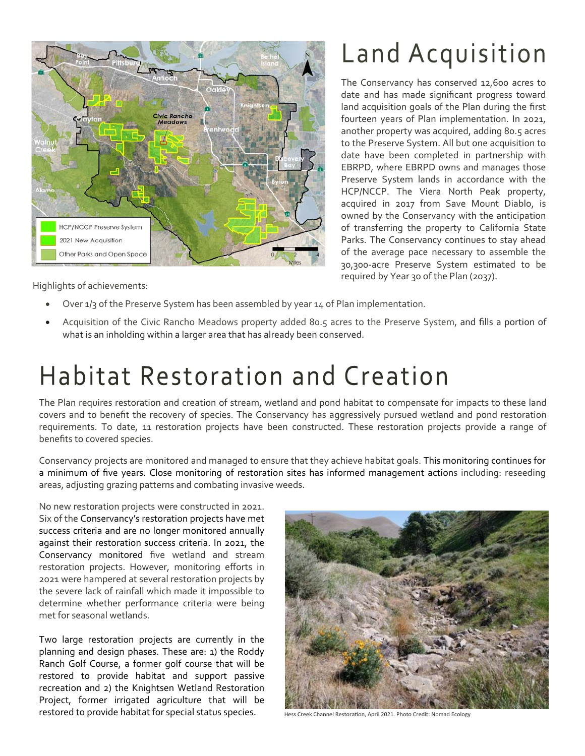

Highlights of achievements:

### **Land Acquisition**

The Conservancy has conserved 12,600 acres to date and has made significant progress toward land acquisition goals of the Plan during the first fourteen years of Plan implementation. In 2021, another property was acquired, adding 80.5 acres to the Preserve System. All but one acquisition to date have been completed in partnership with EBRPD, where EBRPD owns and manages those Preserve System lands in accordance with the HCP/NCCP. The Viera North Peak property, acquired in 2017 from Save Mount Diablo, is owned by the Conservancy with the anticipation of transferring the property to California State Parks. The Conservancy continues to stay ahead of the average pace necessary to assemble the 30,300‐acre Preserve System estimated to be required by Year 30 of the Plan (2037).

- Over 1/3 of the Preserve System has been assembled by year 14 of Plan implementation.
- Acquisition of the Civic Rancho Meadows property added 80.5 acres to the Preserve System, and fills a portion of what is an inholding within a larger area that has already been conserved.

## **Habitat Restoration and Creation**

The Plan requires restoration and creation of stream, wetland and pond habitat to compensate for impacts to these land covers and to benefit the recovery of species. The Conservancy has aggressively pursued wetland and pond restoration requirements. To date, 11 restoration projects have been constructed. These restoration projects provide a range of benefits to covered species.

Conservancy projects are monitored and managed to ensure that they achieve habitat goals. This monitoring continues for a minimum of five years. Close monitoring of restoration sites has informed management actions including: reseeding areas, adjusting grazing patterns and combating invasive weeds.

No new restoration projects were constructed in 2021. Six of the Conservancy's restoration projects have met success criteria and are no longer monitored annually against their restoration success criteria. In 2021, the Conservancy monitored five wetland and stream restoration projects. However, monitoring efforts in 2021 were hampered at several restoration projects by the severe lack of rainfall which made it impossible to determine whether performance criteria were being met for seasonal wetlands.

Two large restoration projects are currently in the planning and design phases. These are: 1) the Roddy Ranch Golf Course, a former golf course that will be restored to provide habitat and support passive recreation and 2) the Knightsen Wetland Restoration Project, former irrigated agriculture that will be restored to provide habitat for special status species.



Hess Creek Channel Restoration, April 2021. Photo Credit: Nomad Ecology